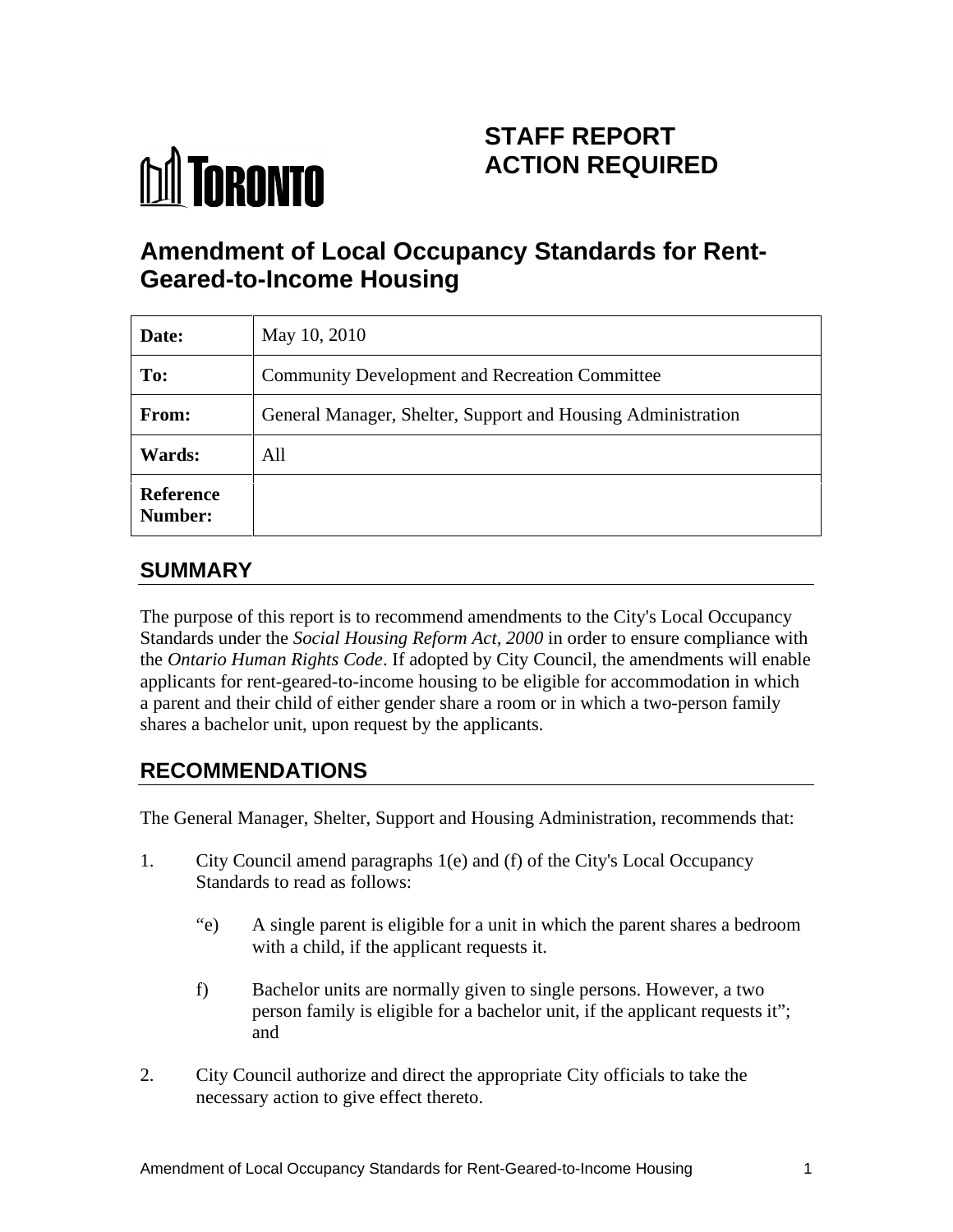

# **STAFF REPORT ACTION REQUIRED**

## **Amendment of Local Occupancy Standards for Rent- Geared-to-Income Housing**

| Date:                | May 10, 2010                                                 |
|----------------------|--------------------------------------------------------------|
| To:                  | Community Development and Recreation Committee               |
| From:                | General Manager, Shelter, Support and Housing Administration |
| <b>Wards:</b>        | All                                                          |
| Reference<br>Number: |                                                              |

### **SUMMARY**

The purpose of this report is to recommend amendments to the City's Local Occupancy Standards under the *Social Housing Reform Act, 2000* in order to ensure compliance with the *Ontario Human Rights Code*. If adopted by City Council, the amendments will enable applicants for rent-geared-to-income housing to be eligible for accommodation in which a parent and their child of either gender share a room or in which a two-person family shares a bachelor unit, upon request by the applicants.

### **RECOMMENDATIONS**

The General Manager, Shelter, Support and Housing Administration, recommends that:

- 1. City Council amend paragraphs 1(e) and (f) of the City's Local Occupancy Standards to read as follows:
	- "e) A single parent is eligible for a unit in which the parent shares a bedroom with a child, if the applicant requests it.
	- f) Bachelor units are normally given to single persons. However, a two person family is eligible for a bachelor unit, if the applicant requests it"; and
- 2. City Council authorize and direct the appropriate City officials to take the necessary action to give effect thereto.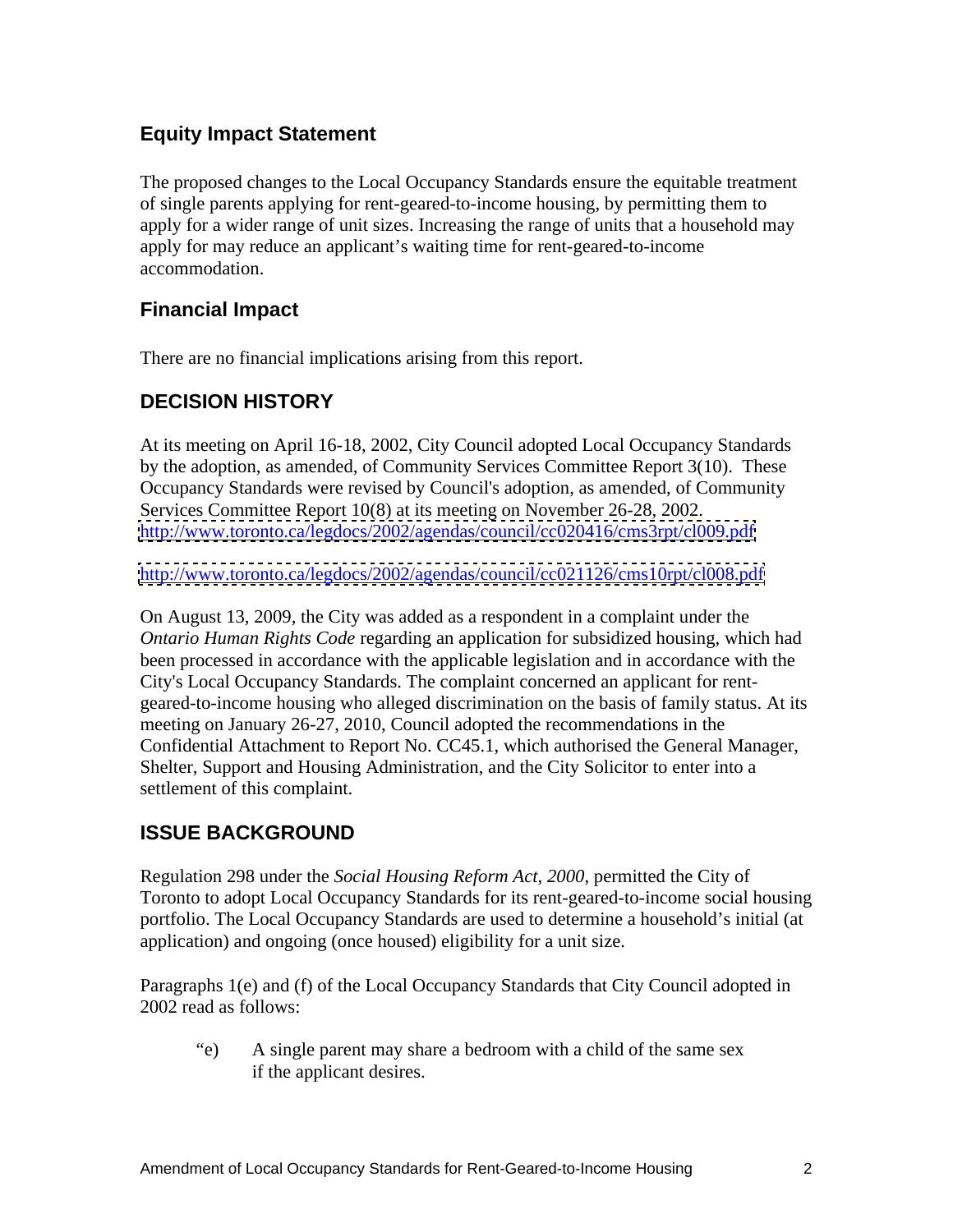#### **Equity Impact Statement**

The proposed changes to the Local Occupancy Standards ensure the equitable treatment of single parents applying for rent-geared-to-income housing, by permitting them to apply for a wider range of unit sizes. Increasing the range of units that a household may apply for may reduce an applicant's waiting time for rent-geared-to-income accommodation.

#### **Financial Impact**

There are no financial implications arising from this report.

### **DECISION HISTORY**

At its meeting on April 16-18, 2002, City Council adopted Local Occupancy Standards by the adoption, as amended, of Community Services Committee Report 3(10). These Occupancy Standards were revised by Council's adoption, as amended, of Community Services Committee Report 10(8) at its meeting on November 26-28, 2002.<br><http://www.toronto.ca/legdocs/2002/agendas/council/cc020416/cms3rpt/cl009.pdf>

<http://www.toronto.ca/legdocs/2002/agendas/council/cc021126/cms10rpt/cl008.pdf>

On August 13, 2009, the City was added as a respondent in a complaint under the *Ontario Human Rights Code* regarding an application for subsidized housing, which had been processed in accordance with the applicable legislation and in accordance with the City's Local Occupancy Standards. The complaint concerned an applicant for rent geared-to-income housing who alleged discrimination on the basis of family status. At its meeting on January 26-27, 2010, Council adopted the recommendations in the Confidential Attachment to Report No. CC45.1, which authorised the General Manager, Shelter, Support and Housing Administration, and the City Solicitor to enter into a settlement of this complaint.

#### **ISSUE BACKGROUND**

Regulation 298 under the *Social Housing Reform Act*, *2000*, permitted the City of Toronto to adopt Local Occupancy Standards for its rent-geared-to-income social housing portfolio. The Local Occupancy Standards are used to determine a household's initial (at application) and ongoing (once housed) eligibility for a unit size.

Paragraphs 1(e) and (f) of the Local Occupancy Standards that City Council adopted in 2002 read as follows:

"e) A single parent may share a bedroom with a child of the same sex if the applicant desires.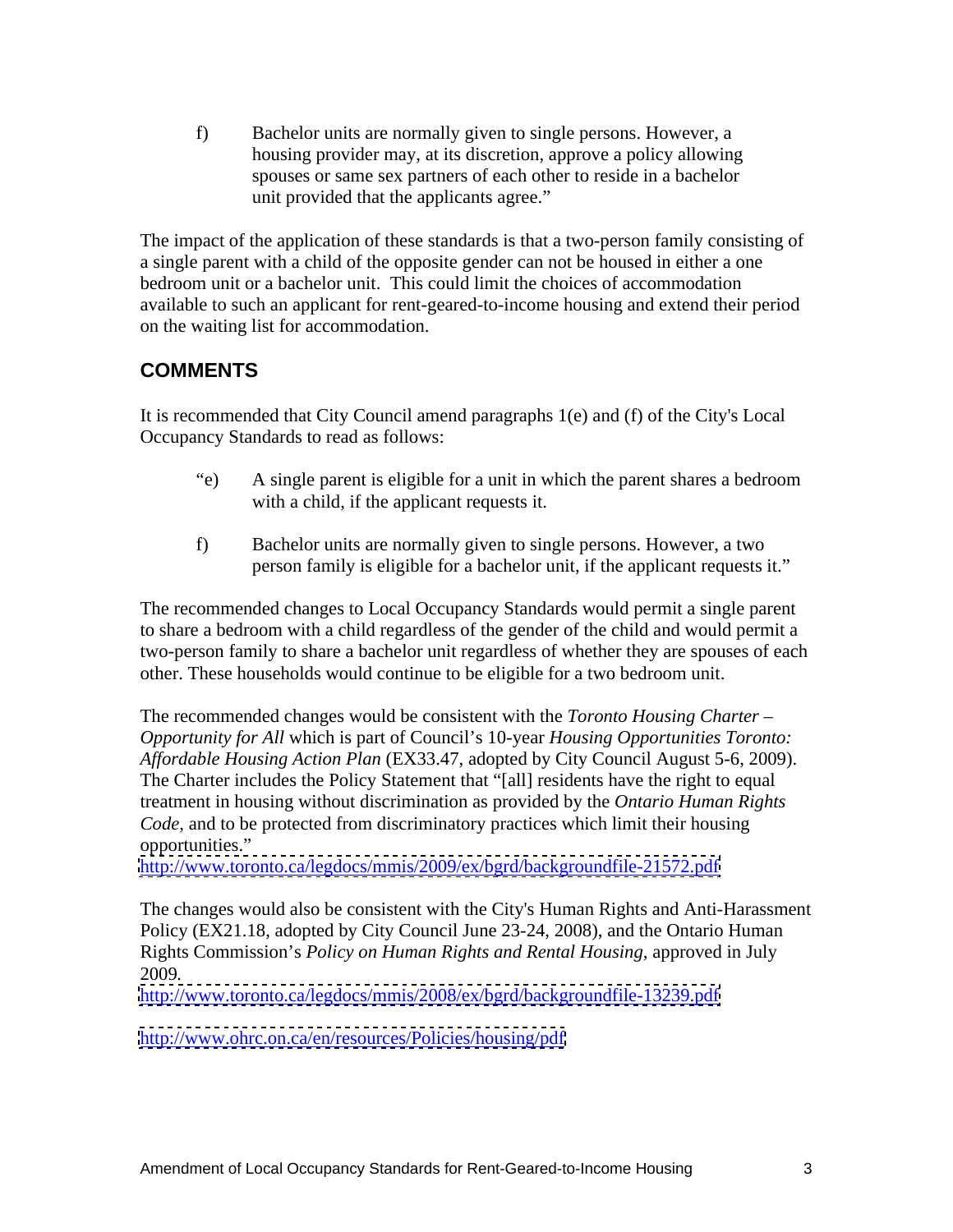f) Bachelor units are normally given to single persons. However, a housing provider may, at its discretion, approve a policy allowing spouses or same sex partners of each other to reside in a bachelor unit provided that the applicants agree."

The impact of the application of these standards is that a two-person family consisting of a single parent with a child of the opposite gender can not be housed in either a one bedroom unit or a bachelor unit. This could limit the choices of accommodation available to such an applicant for rent-geared-to-income housing and extend their period on the waiting list for accommodation.

#### **COMMENTS**

It is recommended that City Council amend paragraphs 1(e) and (f) of the City's Local Occupancy Standards to read as follows:

- "e) A single parent is eligible for a unit in which the parent shares a bedroom with a child, if the applicant requests it.
- f) Bachelor units are normally given to single persons. However, a two person family is eligible for a bachelor unit, if the applicant requests it."

The recommended changes to Local Occupancy Standards would permit a single parent to share a bedroom with a child regardless of the gender of the child and would permit a two-person family to share a bachelor unit regardless of whether they are spouses of each other. These households would continue to be eligible for a two bedroom unit.

The recommended changes would be consistent with the *Toronto Housing Charter – Opportunity for All* which is part of Council's 10-year *Housing Opportunities Toronto: Affordable Housing Action Plan* (EX33.47, adopted by City Council August 5-6, 2009). The Charter includes the Policy Statement that "[all] residents have the right to equal treatment in housing without discrimination as provided by the *Ontario Human Rights Code*, and to be protected from discriminatory practices which limit their housing opportunities."

<http://www.toronto.ca/legdocs/mmis/2009/ex/bgrd/backgroundfile-21572.pdf>

The changes would also be consistent with the City's Human Rights and Anti-Harassment Policy (EX21.18, adopted by City Council June 23-24, 2008), and the Ontario Human Rights Commission's *Policy on Human Rights and Rental Housing,* approved in July 2009*.* 

<http://www.toronto.ca/legdocs/mmis/2008/ex/bgrd/backgroundfile-13239.pdf>

<http://www.ohrc.on.ca/en/resources/Policies/housing/pdf>